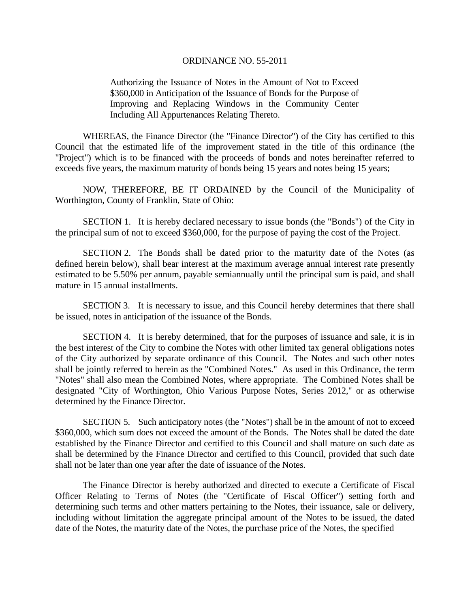Authorizing the Issuance of Notes in the Amount of Not to Exceed \$360,000 in Anticipation of the Issuance of Bonds for the Purpose of Improving and Replacing Windows in the Community Center Including All Appurtenances Relating Thereto.

 WHEREAS, the Finance Director (the "Finance Director") of the City has certified to this Council that the estimated life of the improvement stated in the title of this ordinance (the "Project") which is to be financed with the proceeds of bonds and notes hereinafter referred to exceeds five years, the maximum maturity of bonds being 15 years and notes being 15 years;

 NOW, THEREFORE, BE IT ORDAINED by the Council of the Municipality of Worthington, County of Franklin, State of Ohio:

SECTION 1. It is hereby declared necessary to issue bonds (the "Bonds") of the City in the principal sum of not to exceed \$360,000, for the purpose of paying the cost of the Project.

SECTION 2. The Bonds shall be dated prior to the maturity date of the Notes (as defined herein below), shall bear interest at the maximum average annual interest rate presently estimated to be 5.50% per annum, payable semiannually until the principal sum is paid, and shall mature in 15 annual installments.

SECTION 3. It is necessary to issue, and this Council hereby determines that there shall be issued, notes in anticipation of the issuance of the Bonds.

SECTION 4. It is hereby determined, that for the purposes of issuance and sale, it is in the best interest of the City to combine the Notes with other limited tax general obligations notes of the City authorized by separate ordinance of this Council. The Notes and such other notes shall be jointly referred to herein as the "Combined Notes." As used in this Ordinance, the term "Notes" shall also mean the Combined Notes, where appropriate. The Combined Notes shall be designated "City of Worthington, Ohio Various Purpose Notes, Series 2012," or as otherwise determined by the Finance Director.

SECTION 5. Such anticipatory notes (the "Notes") shall be in the amount of not to exceed \$360,000, which sum does not exceed the amount of the Bonds. The Notes shall be dated the date established by the Finance Director and certified to this Council and shall mature on such date as shall be determined by the Finance Director and certified to this Council, provided that such date shall not be later than one year after the date of issuance of the Notes.

 The Finance Director is hereby authorized and directed to execute a Certificate of Fiscal Officer Relating to Terms of Notes (the "Certificate of Fiscal Officer") setting forth and determining such terms and other matters pertaining to the Notes, their issuance, sale or delivery, including without limitation the aggregate principal amount of the Notes to be issued, the dated date of the Notes, the maturity date of the Notes, the purchase price of the Notes, the specified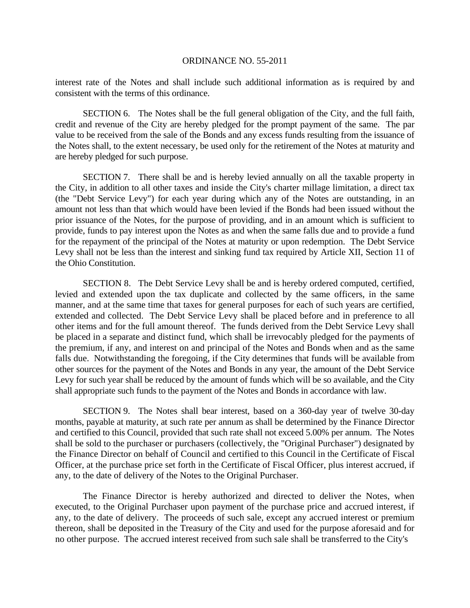interest rate of the Notes and shall include such additional information as is required by and consistent with the terms of this ordinance.

SECTION 6. The Notes shall be the full general obligation of the City, and the full faith, credit and revenue of the City are hereby pledged for the prompt payment of the same. The par value to be received from the sale of the Bonds and any excess funds resulting from the issuance of the Notes shall, to the extent necessary, be used only for the retirement of the Notes at maturity and are hereby pledged for such purpose.

SECTION 7. There shall be and is hereby levied annually on all the taxable property in the City, in addition to all other taxes and inside the City's charter millage limitation, a direct tax (the "Debt Service Levy") for each year during which any of the Notes are outstanding, in an amount not less than that which would have been levied if the Bonds had been issued without the prior issuance of the Notes, for the purpose of providing, and in an amount which is sufficient to provide, funds to pay interest upon the Notes as and when the same falls due and to provide a fund for the repayment of the principal of the Notes at maturity or upon redemption. The Debt Service Levy shall not be less than the interest and sinking fund tax required by Article XII, Section 11 of the Ohio Constitution.

SECTION 8. The Debt Service Levy shall be and is hereby ordered computed, certified, levied and extended upon the tax duplicate and collected by the same officers, in the same manner, and at the same time that taxes for general purposes for each of such years are certified, extended and collected. The Debt Service Levy shall be placed before and in preference to all other items and for the full amount thereof. The funds derived from the Debt Service Levy shall be placed in a separate and distinct fund, which shall be irrevocably pledged for the payments of the premium, if any, and interest on and principal of the Notes and Bonds when and as the same falls due. Notwithstanding the foregoing, if the City determines that funds will be available from other sources for the payment of the Notes and Bonds in any year, the amount of the Debt Service Levy for such year shall be reduced by the amount of funds which will be so available, and the City shall appropriate such funds to the payment of the Notes and Bonds in accordance with law.

SECTION 9. The Notes shall bear interest, based on a 360-day year of twelve 30-day months, payable at maturity, at such rate per annum as shall be determined by the Finance Director and certified to this Council, provided that such rate shall not exceed 5.00% per annum. The Notes shall be sold to the purchaser or purchasers (collectively, the "Original Purchaser") designated by the Finance Director on behalf of Council and certified to this Council in the Certificate of Fiscal Officer, at the purchase price set forth in the Certificate of Fiscal Officer, plus interest accrued, if any, to the date of delivery of the Notes to the Original Purchaser.

 The Finance Director is hereby authorized and directed to deliver the Notes, when executed, to the Original Purchaser upon payment of the purchase price and accrued interest, if any, to the date of delivery. The proceeds of such sale, except any accrued interest or premium thereon, shall be deposited in the Treasury of the City and used for the purpose aforesaid and for no other purpose. The accrued interest received from such sale shall be transferred to the City's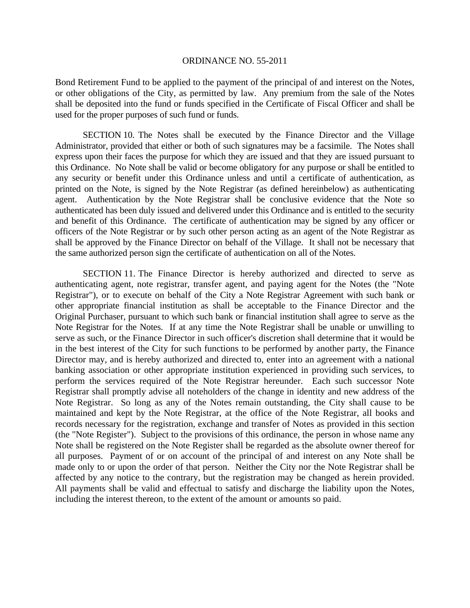Bond Retirement Fund to be applied to the payment of the principal of and interest on the Notes, or other obligations of the City, as permitted by law. Any premium from the sale of the Notes shall be deposited into the fund or funds specified in the Certificate of Fiscal Officer and shall be used for the proper purposes of such fund or funds.

SECTION 10. The Notes shall be executed by the Finance Director and the Village Administrator, provided that either or both of such signatures may be a facsimile. The Notes shall express upon their faces the purpose for which they are issued and that they are issued pursuant to this Ordinance. No Note shall be valid or become obligatory for any purpose or shall be entitled to any security or benefit under this Ordinance unless and until a certificate of authentication, as printed on the Note, is signed by the Note Registrar (as defined hereinbelow) as authenticating agent. Authentication by the Note Registrar shall be conclusive evidence that the Note so authenticated has been duly issued and delivered under this Ordinance and is entitled to the security and benefit of this Ordinance. The certificate of authentication may be signed by any officer or officers of the Note Registrar or by such other person acting as an agent of the Note Registrar as shall be approved by the Finance Director on behalf of the Village. It shall not be necessary that the same authorized person sign the certificate of authentication on all of the Notes.

SECTION 11. The Finance Director is hereby authorized and directed to serve as authenticating agent, note registrar, transfer agent, and paying agent for the Notes (the "Note Registrar"), or to execute on behalf of the City a Note Registrar Agreement with such bank or other appropriate financial institution as shall be acceptable to the Finance Director and the Original Purchaser, pursuant to which such bank or financial institution shall agree to serve as the Note Registrar for the Notes. If at any time the Note Registrar shall be unable or unwilling to serve as such, or the Finance Director in such officer's discretion shall determine that it would be in the best interest of the City for such functions to be performed by another party, the Finance Director may, and is hereby authorized and directed to, enter into an agreement with a national banking association or other appropriate institution experienced in providing such services, to perform the services required of the Note Registrar hereunder. Each such successor Note Registrar shall promptly advise all noteholders of the change in identity and new address of the Note Registrar. So long as any of the Notes remain outstanding, the City shall cause to be maintained and kept by the Note Registrar, at the office of the Note Registrar, all books and records necessary for the registration, exchange and transfer of Notes as provided in this section (the "Note Register"). Subject to the provisions of this ordinance, the person in whose name any Note shall be registered on the Note Register shall be regarded as the absolute owner thereof for all purposes. Payment of or on account of the principal of and interest on any Note shall be made only to or upon the order of that person. Neither the City nor the Note Registrar shall be affected by any notice to the contrary, but the registration may be changed as herein provided. All payments shall be valid and effectual to satisfy and discharge the liability upon the Notes, including the interest thereon, to the extent of the amount or amounts so paid.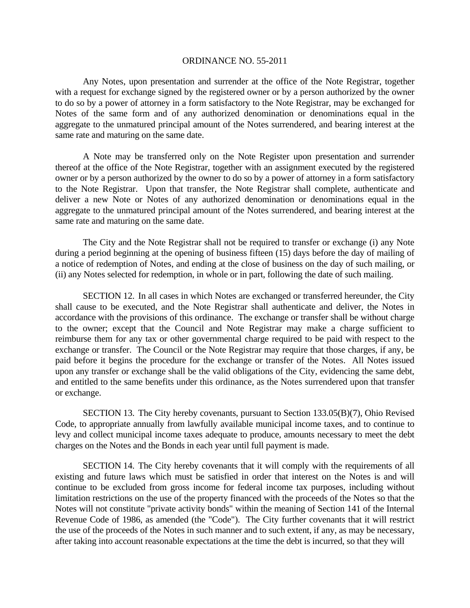Any Notes, upon presentation and surrender at the office of the Note Registrar, together with a request for exchange signed by the registered owner or by a person authorized by the owner to do so by a power of attorney in a form satisfactory to the Note Registrar, may be exchanged for Notes of the same form and of any authorized denomination or denominations equal in the aggregate to the unmatured principal amount of the Notes surrendered, and bearing interest at the same rate and maturing on the same date.

A Note may be transferred only on the Note Register upon presentation and surrender thereof at the office of the Note Registrar, together with an assignment executed by the registered owner or by a person authorized by the owner to do so by a power of attorney in a form satisfactory to the Note Registrar. Upon that transfer, the Note Registrar shall complete, authenticate and deliver a new Note or Notes of any authorized denomination or denominations equal in the aggregate to the unmatured principal amount of the Notes surrendered, and bearing interest at the same rate and maturing on the same date.

The City and the Note Registrar shall not be required to transfer or exchange (i) any Note during a period beginning at the opening of business fifteen (15) days before the day of mailing of a notice of redemption of Notes, and ending at the close of business on the day of such mailing, or (ii) any Notes selected for redemption, in whole or in part, following the date of such mailing.

SECTION 12. In all cases in which Notes are exchanged or transferred hereunder, the City shall cause to be executed, and the Note Registrar shall authenticate and deliver, the Notes in accordance with the provisions of this ordinance. The exchange or transfer shall be without charge to the owner; except that the Council and Note Registrar may make a charge sufficient to reimburse them for any tax or other governmental charge required to be paid with respect to the exchange or transfer. The Council or the Note Registrar may require that those charges, if any, be paid before it begins the procedure for the exchange or transfer of the Notes. All Notes issued upon any transfer or exchange shall be the valid obligations of the City, evidencing the same debt, and entitled to the same benefits under this ordinance, as the Notes surrendered upon that transfer or exchange.

SECTION 13. The City hereby covenants, pursuant to Section 133.05(B)(7), Ohio Revised Code, to appropriate annually from lawfully available municipal income taxes, and to continue to levy and collect municipal income taxes adequate to produce, amounts necessary to meet the debt charges on the Notes and the Bonds in each year until full payment is made.

SECTION 14. The City hereby covenants that it will comply with the requirements of all existing and future laws which must be satisfied in order that interest on the Notes is and will continue to be excluded from gross income for federal income tax purposes, including without limitation restrictions on the use of the property financed with the proceeds of the Notes so that the Notes will not constitute "private activity bonds" within the meaning of Section 141 of the Internal Revenue Code of 1986, as amended (the "Code"). The City further covenants that it will restrict the use of the proceeds of the Notes in such manner and to such extent, if any, as may be necessary, after taking into account reasonable expectations at the time the debt is incurred, so that they will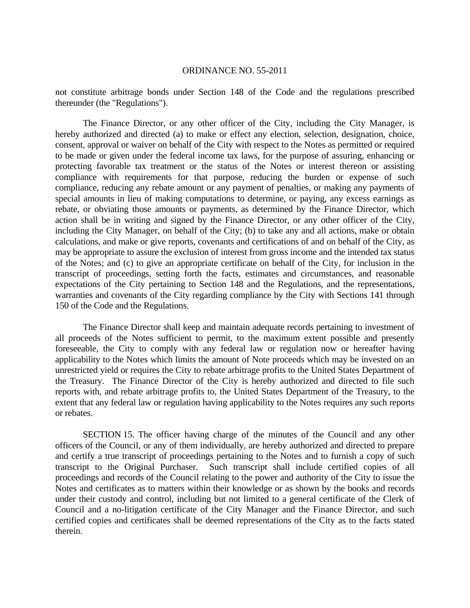not constitute arbitrage bonds under Section 148 of the Code and the regulations prescribed thereunder (the "Regulations").

 The Finance Director, or any other officer of the City, including the City Manager, is hereby authorized and directed (a) to make or effect any election, selection, designation, choice, consent, approval or waiver on behalf of the City with respect to the Notes as permitted or required to be made or given under the federal income tax laws, for the purpose of assuring, enhancing or protecting favorable tax treatment or the status of the Notes or interest thereon or assisting compliance with requirements for that purpose, reducing the burden or expense of such compliance, reducing any rebate amount or any payment of penalties, or making any payments of special amounts in lieu of making computations to determine, or paying, any excess earnings as rebate, or obviating those amounts or payments, as determined by the Finance Director, which action shall be in writing and signed by the Finance Director, or any other officer of the City, including the City Manager, on behalf of the City; (b) to take any and all actions, make or obtain calculations, and make or give reports, covenants and certifications of and on behalf of the City, as may be appropriate to assure the exclusion of interest from gross income and the intended tax status of the Notes; and (c) to give an appropriate certificate on behalf of the City, for inclusion in the transcript of proceedings, setting forth the facts, estimates and circumstances, and reasonable expectations of the City pertaining to Section 148 and the Regulations, and the representations, warranties and covenants of the City regarding compliance by the City with Sections 141 through 150 of the Code and the Regulations.

 The Finance Director shall keep and maintain adequate records pertaining to investment of all proceeds of the Notes sufficient to permit, to the maximum extent possible and presently foreseeable, the City to comply with any federal law or regulation now or hereafter having applicability to the Notes which limits the amount of Note proceeds which may be invested on an unrestricted yield or requires the City to rebate arbitrage profits to the United States Department of the Treasury. The Finance Director of the City is hereby authorized and directed to file such reports with, and rebate arbitrage profits to, the United States Department of the Treasury, to the extent that any federal law or regulation having applicability to the Notes requires any such reports or rebates.

SECTION 15. The officer having charge of the minutes of the Council and any other officers of the Council, or any of them individually, are hereby authorized and directed to prepare and certify a true transcript of proceedings pertaining to the Notes and to furnish a copy of such transcript to the Original Purchaser. Such transcript shall include certified copies of all proceedings and records of the Council relating to the power and authority of the City to issue the Notes and certificates as to matters within their knowledge or as shown by the books and records under their custody and control, including but not limited to a general certificate of the Clerk of Council and a no-litigation certificate of the City Manager and the Finance Director, and such certified copies and certificates shall be deemed representations of the City as to the facts stated therein.